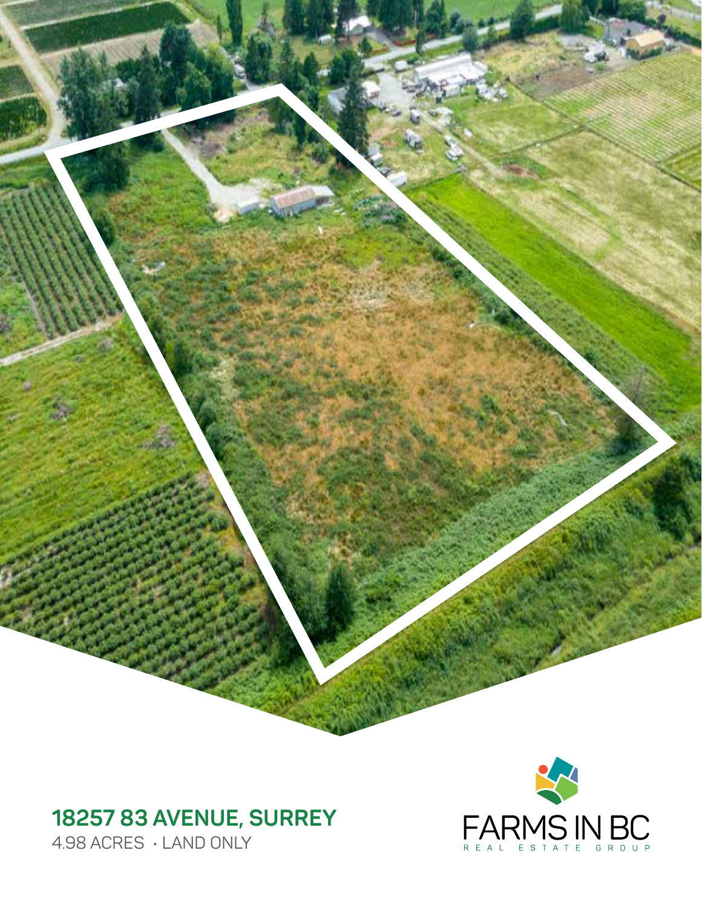

## **18257 83 AVENUE, SURREY**



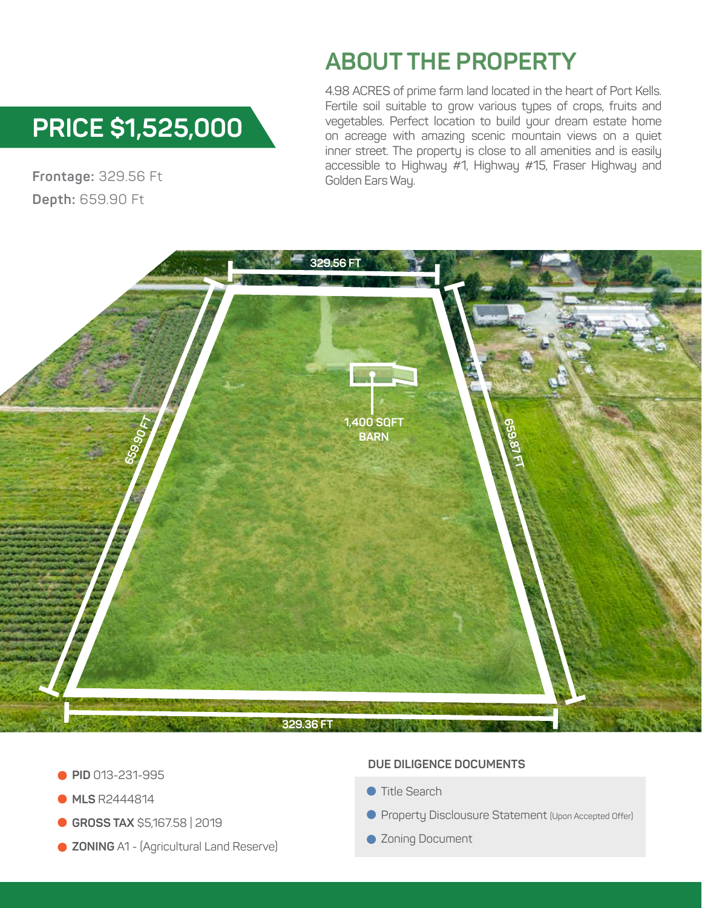

**Frontage:** 329.56 Ft **Depth:** 659.90 Ft

## **ABOUT THE PROPERTY**

4.98 ACRES of prime farm land located in the heart of Port Kells. Fertile soil suitable to grow various types of crops, fruits and vegetables. Perfect location to build your dream estate home on acreage with amazing scenic mountain views on a quiet inner street. The property is close to all amenities and is easily accessible to Highway #1, Highway #15, Fraser Highway and Golden Ears Way.



- **PID** 013-231-995
- **MLS** R2444814
- **GROSS TAX** \$5,167.58 | 2019
- **ZONING** A1 (Agricultural Land Reserve)

## **DUE DILIGENCE DOCUMENTS**

- **Title Search**
- **Property Disclousure Statement (Upon Accepted Offer)**
- Zoning Document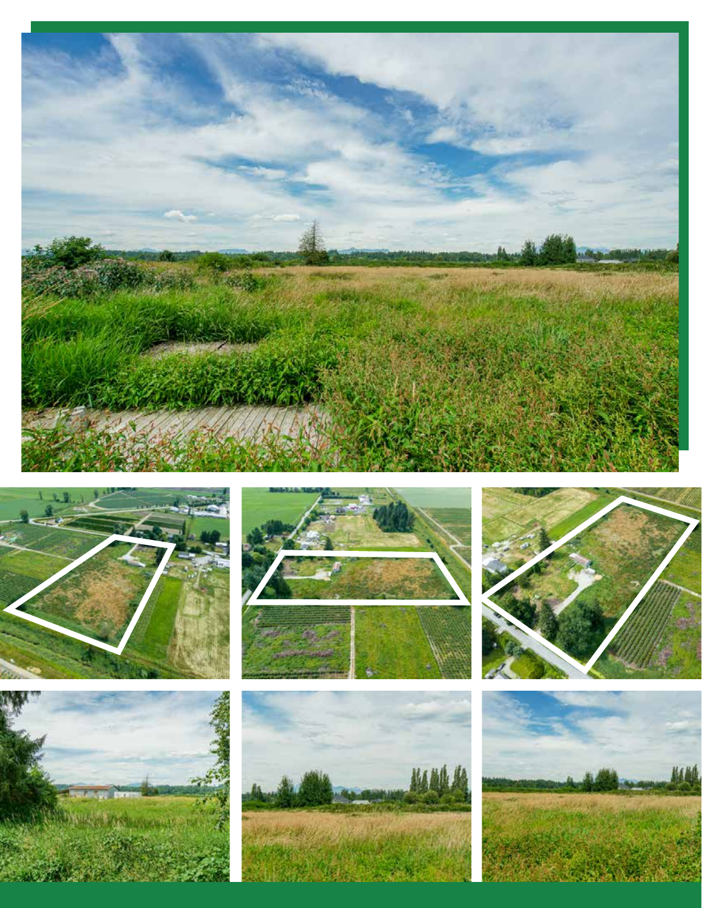